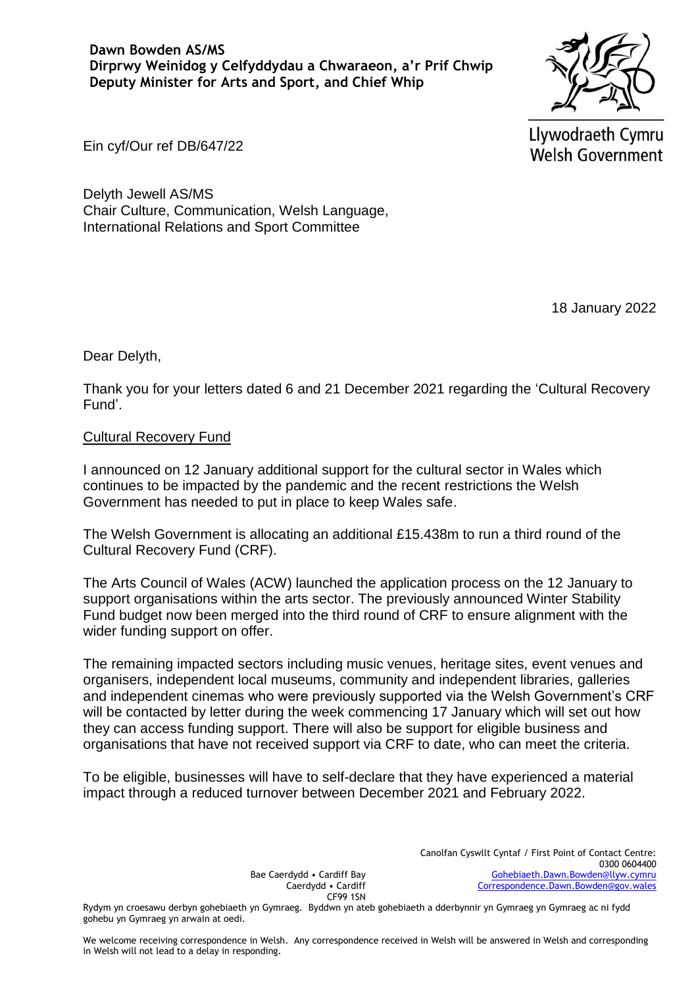

Llywodraeth Cymru **Welsh Government** 

Ein cyf/Our ref DB/647/22

Delyth Jewell AS/MS Chair Culture, Communication, Welsh Language, International Relations and Sport Committee

18 January 2022

Dear Delyth,

Thank you for your letters dated 6 and 21 December 2021 regarding the 'Cultural Recovery Fund'.

## Cultural Recovery Fund

I announced on 12 January additional support for the cultural sector in Wales which continues to be impacted by the pandemic and the recent restrictions the Welsh Government has needed to put in place to keep Wales safe.

The Welsh Government is allocating an additional £15.438m to run a third round of the Cultural Recovery Fund (CRF).

The Arts Council of Wales (ACW) launched the application process on the 12 January to support organisations within the arts sector. The previously announced Winter Stability Fund budget now been merged into the third round of CRF to ensure alignment with the wider funding support on offer.

The remaining impacted sectors including music venues, heritage sites, event venues and organisers, independent local museums, community and independent libraries, galleries and independent cinemas who were previously supported via the Welsh Government's CRF will be contacted by letter during the week commencing 17 January which will set out how they can access funding support. There will also be support for eligible business and organisations that have not received support via CRF to date, who can meet the criteria.

To be eligible, businesses will have to self-declare that they have experienced a material impact through a reduced turnover between December 2021 and February 2022.

> Canolfan Cyswllt Cyntaf / First Point of Contact Centre: 0300 0604400 [Gohebiaeth.Dawn.Bowden@llyw.cymru](mailto:Gohebiaeth.Dawn.Bowden@llyw.cymru)   [Correspondence.Dawn.Bowden@gov.wales](mailto:Correspondence.Dawn.Bowden@gov.wales)

Bae Caerdydd • Cardiff Bay Caerdydd • Cardiff CF99 1SN

Rydym yn croesawu derbyn gohebiaeth yn Gymraeg. Byddwn yn ateb gohebiaeth a dderbynnir yn Gymraeg yn Gymraeg ac ni fydd gohebu yn Gymraeg yn arwain at oedi.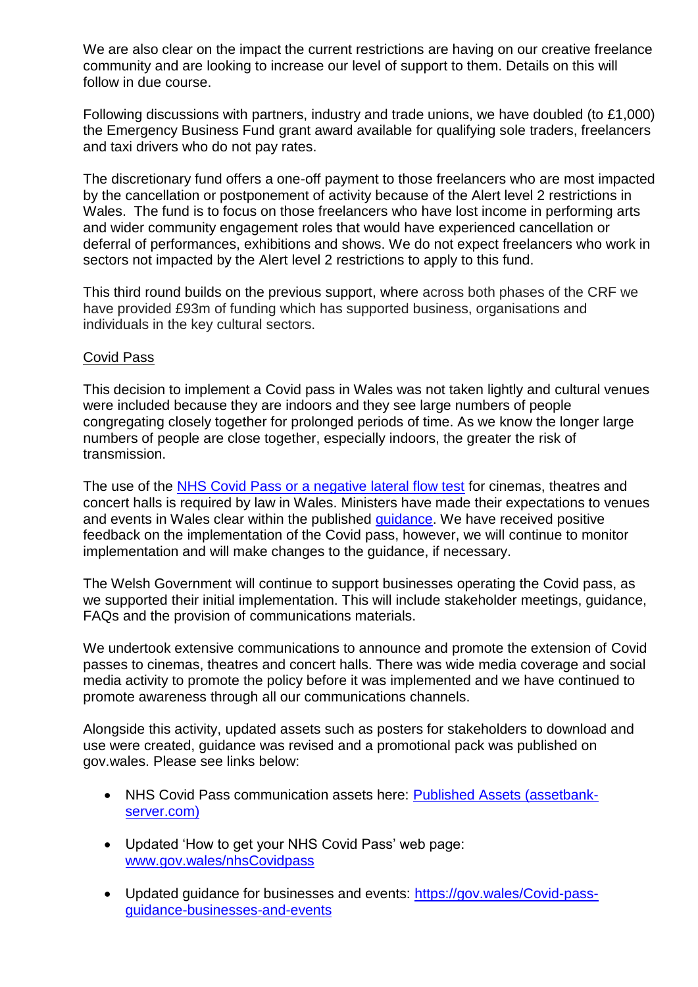We are also clear on the impact the current restrictions are having on our creative freelance community and are looking to increase our level of support to them. Details on this will follow in due course.

Following discussions with partners, industry and trade unions, we have doubled (to £1,000) the Emergency Business Fund grant award available for qualifying sole traders, freelancers and taxi drivers who do not pay rates.

The discretionary fund offers a one-off payment to those freelancers who are most impacted by the cancellation or postponement of activity because of the Alert level 2 restrictions in Wales. The fund is to focus on those freelancers who have lost income in performing arts and wider community engagement roles that would have experienced cancellation or deferral of performances, exhibitions and shows. We do not expect freelancers who work in sectors not impacted by the Alert level 2 restrictions to apply to this fund.

This third round builds on the previous support, where across both phases of the CRF we have provided £93m of funding which has supported business, organisations and individuals in the key cultural sectors.

## Covid Pass

This decision to implement a Covid pass in Wales was not taken lightly and cultural venues were included because they are indoors and they see large numbers of people congregating closely together for prolonged periods of time. As we know the longer large numbers of people are close together, especially indoors, the greater the risk of transmission.

The use of the [NHS Covid Pass or a negative lateral flow test](https://gov.wales/covid-pass-guidance-businesses-and-events-html) for cinemas, theatres and concert halls is required by law in Wales. Ministers have made their expectations to venues and events in Wales clear within the published [guidance.](https://gov.wales/covid-pass-guidance-businesses-and-events-html) We have received positive feedback on the implementation of the Covid pass, however, we will continue to monitor implementation and will make changes to the guidance, if necessary.

The Welsh Government will continue to support businesses operating the Covid pass, as we supported their initial implementation. This will include stakeholder meetings, guidance, FAQs and the provision of communications materials.

We undertook extensive communications to announce and promote the extension of Covid passes to cinemas, theatres and concert halls. There was wide media coverage and social media activity to promote the policy before it was implemented and we have continued to promote awareness through all our communications channels.

Alongside this activity, updated assets such as posters for stakeholders to download and use were created, guidance was revised and a promotional pack was published on gov.wales. Please see links below:

- NHS Covid Pass communication assets here: [Published Assets \(assetbank](https://eur01.safelinks.protection.outlook.com/?url=https%3A%2F%2Fwales.assetbank-server.com%2Fassetbank-wales%2Fimages%2Fassetbox%2F196c46e8-b05d-479d-b38c-6380cdc2cb6b%2Fassetbox.html&data=04%7C01%7CLeon.Griffiths%40Gov.Wales%7C9dad7a0e42c945395bff08d9b5ad09dd%7Ca2cc36c592804ae78887d06dab89216b%7C0%7C0%7C637740577056694117%7CUnknown%7CTWFpbGZsb3d8eyJWIjoiMC4wLjAwMDAiLCJQIjoiV2luMzIiLCJBTiI6Ik1haWwiLCJXVCI6Mn0%3D%7C3000&sdata=JexcCV%2FJcbwavjs1SXA843svXRzyPc5lvXL4VdEU3%2Fs%3D&reserved=0)[server.com\)](https://eur01.safelinks.protection.outlook.com/?url=https%3A%2F%2Fwales.assetbank-server.com%2Fassetbank-wales%2Fimages%2Fassetbox%2F196c46e8-b05d-479d-b38c-6380cdc2cb6b%2Fassetbox.html&data=04%7C01%7CLeon.Griffiths%40Gov.Wales%7C9dad7a0e42c945395bff08d9b5ad09dd%7Ca2cc36c592804ae78887d06dab89216b%7C0%7C0%7C637740577056694117%7CUnknown%7CTWFpbGZsb3d8eyJWIjoiMC4wLjAwMDAiLCJQIjoiV2luMzIiLCJBTiI6Ik1haWwiLCJXVCI6Mn0%3D%7C3000&sdata=JexcCV%2FJcbwavjs1SXA843svXRzyPc5lvXL4VdEU3%2Fs%3D&reserved=0)
- Updated 'How to get your NHS Covid Pass' web page: [www.gov.wales/nhsCovidpass](https://eur01.safelinks.protection.outlook.com/?url=http%3A%2F%2Fwww.gov.wales%2Fnhscovidpass&data=04%7C01%7CLeon.Griffiths%40Gov.Wales%7C9dad7a0e42c945395bff08d9b5ad09dd%7Ca2cc36c592804ae78887d06dab89216b%7C0%7C0%7C637740577056704083%7CUnknown%7CTWFpbGZsb3d8eyJWIjoiMC4wLjAwMDAiLCJQIjoiV2luMzIiLCJBTiI6Ik1haWwiLCJXVCI6Mn0%3D%7C3000&sdata=q0q%2Fs1XkIbNUsYYATqAP75XmDLqFOo2K%2B6UE2DEfBYQ%3D&reserved=0)
- Updated guidance for businesses and events: [https://gov.wales/Covid-pass](https://eur01.safelinks.protection.outlook.com/?url=https%3A%2F%2Fgov.wales%2Fcovid-pass-guidance-businesses-and-events&data=04%7C01%7CLeon.Griffiths%40Gov.Wales%7C9dad7a0e42c945395bff08d9b5ad09dd%7Ca2cc36c592804ae78887d06dab89216b%7C0%7C0%7C637740577056704083%7CUnknown%7CTWFpbGZsb3d8eyJWIjoiMC4wLjAwMDAiLCJQIjoiV2luMzIiLCJBTiI6Ik1haWwiLCJXVCI6Mn0%3D%7C3000&sdata=eHMti5Dx7Pqkj6l44LPoEr2jiavVeqlIztvPUWPaIWM%3D&reserved=0)[guidance-businesses-and-events](https://eur01.safelinks.protection.outlook.com/?url=https%3A%2F%2Fgov.wales%2Fcovid-pass-guidance-businesses-and-events&data=04%7C01%7CLeon.Griffiths%40Gov.Wales%7C9dad7a0e42c945395bff08d9b5ad09dd%7Ca2cc36c592804ae78887d06dab89216b%7C0%7C0%7C637740577056704083%7CUnknown%7CTWFpbGZsb3d8eyJWIjoiMC4wLjAwMDAiLCJQIjoiV2luMzIiLCJBTiI6Ik1haWwiLCJXVCI6Mn0%3D%7C3000&sdata=eHMti5Dx7Pqkj6l44LPoEr2jiavVeqlIztvPUWPaIWM%3D&reserved=0)